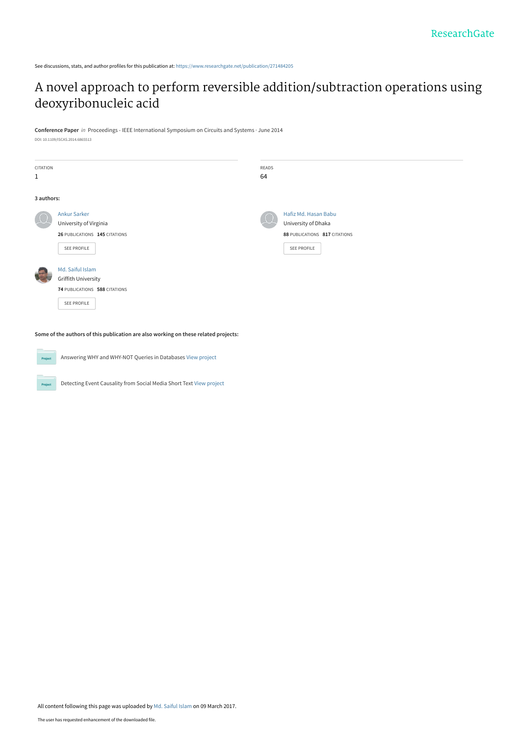See discussions, stats, and author profiles for this publication at: [https://www.researchgate.net/publication/271484205](https://www.researchgate.net/publication/271484205_A_novel_approach_to_perform_reversible_additionsubtraction_operations_using_deoxyribonucleic_acid?enrichId=rgreq-9938a106874707e386e7a0805fdca517-XXX&enrichSource=Y292ZXJQYWdlOzI3MTQ4NDIwNTtBUzo0Njk4MzExNzE0ODE2MDBAMTQ4OTAyNzg4ODk0OA%3D%3D&el=1_x_2&_esc=publicationCoverPdf)

# [A novel approach to perform reversible addition/subtraction operations using](https://www.researchgate.net/publication/271484205_A_novel_approach_to_perform_reversible_additionsubtraction_operations_using_deoxyribonucleic_acid?enrichId=rgreq-9938a106874707e386e7a0805fdca517-XXX&enrichSource=Y292ZXJQYWdlOzI3MTQ4NDIwNTtBUzo0Njk4MzExNzE0ODE2MDBAMTQ4OTAyNzg4ODk0OA%3D%3D&el=1_x_3&_esc=publicationCoverPdf) deoxyribonucleic acid

**Conference Paper** in Proceedings - IEEE International Symposium on Circuits and Systems · June 2014 DOI: 10.1109/ISCAS.2014.6865513

| CITATION     |                               | READS |                               |
|--------------|-------------------------------|-------|-------------------------------|
| $\mathbf{1}$ |                               | 64    |                               |
|              |                               |       |                               |
| 3 authors:   |                               |       |                               |
|              | <b>Ankur Sarker</b>           |       | Hafiz Md. Hasan Babu          |
|              | University of Virginia        | S.    | University of Dhaka           |
|              | 26 PUBLICATIONS 145 CITATIONS |       | 88 PUBLICATIONS 817 CITATIONS |
|              | SEE PROFILE                   |       | SEE PROFILE                   |
|              |                               |       |                               |
|              | Md. Saiful Islam              |       |                               |
|              | Griffith University           |       |                               |
|              | 74 PUBLICATIONS 588 CITATIONS |       |                               |
|              | SEE PROFILE                   |       |                               |
|              |                               |       |                               |

**Some of the authors of this publication are also working on these related projects:**

Answering WHY and WHY-NOT Queries in Databases [View project](https://www.researchgate.net/project/Answering-WHY-and-WHY-NOT-Queries-in-Databases?enrichId=rgreq-9938a106874707e386e7a0805fdca517-XXX&enrichSource=Y292ZXJQYWdlOzI3MTQ4NDIwNTtBUzo0Njk4MzExNzE0ODE2MDBAMTQ4OTAyNzg4ODk0OA%3D%3D&el=1_x_9&_esc=publicationCoverPdf) **Project** Detecting Event Causality from Social Media Short Text [View project](https://www.researchgate.net/project/Detecting-Event-Causality-from-Social-Media-Short-Text?enrichId=rgreq-9938a106874707e386e7a0805fdca517-XXX&enrichSource=Y292ZXJQYWdlOzI3MTQ4NDIwNTtBUzo0Njk4MzExNzE0ODE2MDBAMTQ4OTAyNzg4ODk0OA%3D%3D&el=1_x_9&_esc=publicationCoverPdf) Proj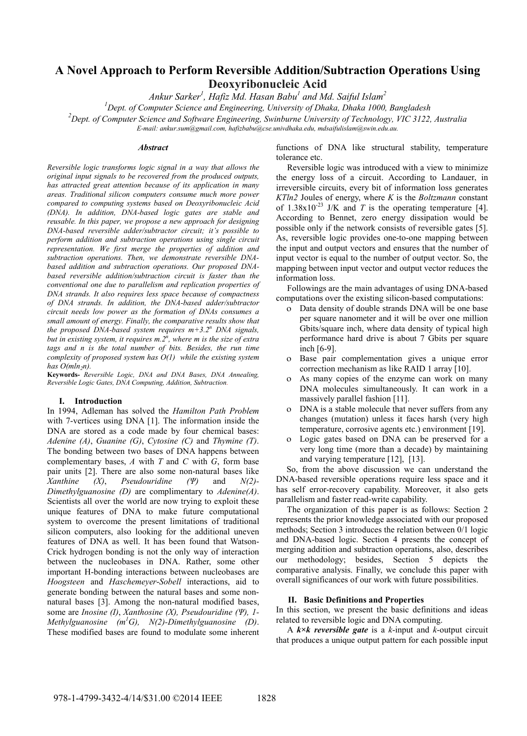# **A Novel Approach to Perform Reversible Addition/Subtraction Operations Using Deoxyribonucleic Acid**

*Ankur Sarker<sup>1</sup> , Hafiz Md. Hasan Babu1 and Md. Saiful Islam2* 

*1 Dept. of Computer Science and Engineering, University of Dhaka, Dhaka 1000, Bangladesh* 

*2 Dept. of Computer Science and Software Engineering, Swinburne University of Technology, VIC 3122, Australia* 

*E-mail: ankur.sum@gmail.com, hafizbabu@cse.univdhaka.edu, mdsaifulislam@swin.edu.au.* 

# *Abstract*

*Reversible logic transforms logic signal in a way that allows the original input signals to be recovered from the produced outputs, has attracted great attention because of its application in many areas. Traditional silicon computers consume much more power compared to computing systems based on Deoxyribonucleic Acid (DNA). In addition, DNA-based logic gates are stable and reusable. In this paper, we propose a new approach for designing DNA-based reversible adder/subtractor circuit; it's possible to perform addition and subtraction operations using single circuit representation. We first merge the properties of addition and subtraction operations. Then, we demonstrate reversible DNAbased addition and subtraction operations. Our proposed DNAbased reversible addition/subtraction circuit is faster than the conventional one due to parallelism and replication properties of DNA strands. It also requires less space because of compactness of DNA strands. In addition, the DNA-based adder/subtractor circuit needs low power as the formation of DNAs consumes a small amount of energy. Finally, the comparative results show that the proposed DNA-based system requires m+3.2<sup>n</sup> DNA signals, but in existing system, it requires m.2<sup>n</sup> , where m is the size of extra*  tags and n is the total number of bits. Besides, the run time *complexity of proposed system has O(1) while the existing system*   $has$   $O(mln_2n)$ .

**Keywords-** *Reversible Logic, DNA and DNA Bases, DNA Annealing, Reversible Logic Gates, DNA Computing, Addition, Subtraction.* 

#### **I. Introduction**

In 1994, Adleman has solved the *Hamilton Path Problem*  with 7-vertices using DNA [1]. The information inside the DNA are stored as a code made by four chemical bases: *Adenine (A)*, *Guanine (G)*, *Cytosine (C)* and *Thymine (T)*. The bonding between two bases of DNA happens between complementary bases, *A* with *T* and *C* with *G*, form base pair units [2]. There are also some non-natural bases like *Xanthine (X)*, *Pseudouridine (Ψ)* and *N(2)- Dimethylguanosine (D)* are complimentary to *Adenine(A)*. Scientists all over the world are now trying to exploit these unique features of DNA to make future computational system to overcome the present limitations of traditional silicon computers, also looking for the additional uneven features of DNA as well. It has been found that Watson-Crick hydrogen bonding is not the only way of interaction between the nucleobases in DNA. Rather, some other important H-bonding interactions between nucleobases are *Hoogsteen* and *Haschemeyer*-*Sobell* interactions, aid to generate bonding between the natural bases and some nonnatural bases [3]. Among the non-natural modified bases, some are *Inosine (I)*, *Xanthosine (X), Pseudouridine (Ψ), 1- Methylguanosine (m1 G), N(2)-Dimethylguanosine (D)*. These modified bases are found to modulate some inherent

functions of DNA like structural stability, temperature tolerance etc.

 Reversible logic was introduced with a view to minimize the energy loss of a circuit. According to Landauer, in irreversible circuits, every bit of information loss generates *KTln2* Joules of energy, where *K* is the *Boltzmann* constant of  $1.38 \times 10^{-23}$  J/K and *T* is the operating temperature [4]. According to Bennet, zero energy dissipation would be possible only if the network consists of reversible gates [5]. As, reversible logic provides one-to-one mapping between the input and output vectors and ensures that the number of input vector is equal to the number of output vector. So, the mapping between input vector and output vector reduces the information loss.

 Followings are the main advantages of using DNA-based computations over the existing silicon-based computations:

- o Data density of double strands DNA will be one base per square nanometer and it will be over one million Gbits/square inch, where data density of typical high performance hard drive is about 7 Gbits per square inch [6-9].
- o Base pair complementation gives a unique error correction mechanism as like RAID 1 array [10].
- o As many copies of the enzyme can work on many DNA molecules simultaneously. It can work in a massively parallel fashion [11].
- o DNA is a stable molecule that never suffers from any changes (mutation) unless it faces harsh (very high temperature, corrosive agents etc.) environment [19].
- o Logic gates based on DNA can be preserved for a very long time (more than a decade) by maintaining and varying temperature [12], [13].

So, from the above discussion we can understand the DNA-based reversible operations require less space and it has self error-recovery capability. Moreover, it also gets parallelism and faster read-write capability.

 The organization of this paper is as follows: Section 2 represents the prior knowledge associated with our proposed methods; Section 3 introduces the relation between 0/1 logic and DNA-based logic. Section 4 presents the concept of merging addition and subtraction operations, also, describes our methodology; besides, Section 5 depicts the comparative analysis. Finally, we conclude this paper with overall significances of our work with future possibilities.

#### **II. Basic Definitions and Properties**

In this section, we present the basic definitions and ideas related to reversible logic and DNA computing.

 A *k×k reversible gate* is a *k*-input and *k*-output circuit that produces a unique output pattern for each possible input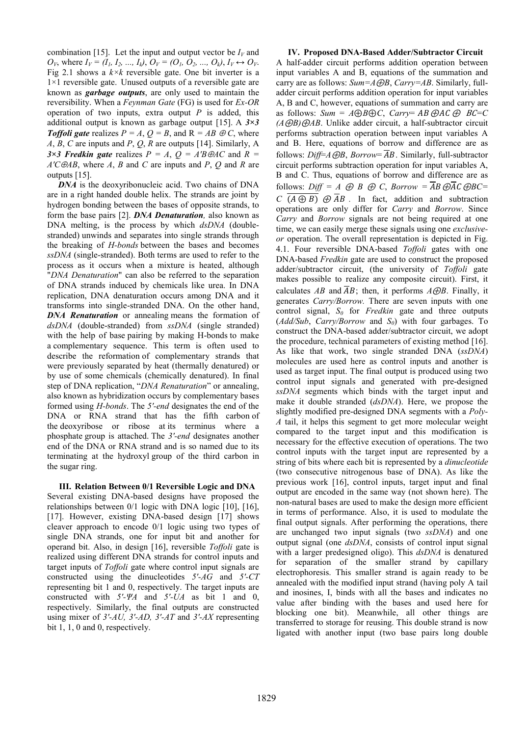combination [15]. Let the input and output vector be  $I_V$  and  $O_V$ , where  $I_V = (I_1, I_2, ..., I_k), O_V = (O_1, O_2, ..., O_k), I_V \leftrightarrow O_V.$ Fig 2.1 shows a  $k \times k$  reversible gate. One bit inverter is a 1×1 reversible gate. Unused outputs of a reversible gate are known as *garbage outputs*, are only used to maintain the reversibility. When a *Feynman Gate* (FG) is used for *Ex-OR*  operation of two inputs, extra output *P* is added, this additional output is known as garbage output [15]. A *3×3 Toffoli gate* realizes  $P = A$ ,  $Q = B$ , and  $R = AB \oplus C$ , where *A*, *B*, *C* are inputs and *P*, *Q*, *R* are outputs [14]. Similarly, A *3×3 Fredkin gate* realizes  $P = A$ ,  $Q = A'B \oplus AC$  and  $R =$ *A'C*⊕*AB*, where *A*, *B* and *C* are inputs and *P*, *Q* and *R* are outputs [15].

*DNA* is the deoxyribonucleic acid. Two chains of DNA are in a right handed double helix. The strands are joint by hydrogen bonding between the bases of opposite strands, to form the base pairs [2]. *DNA Denaturation,* also known as DNA melting, is the process by which *dsDNA* (doublestranded) unwinds and separates into single strands through the breaking of *H-bonds* between the bases and becomes *ssDNA* (single-stranded). Both terms are used to refer to the process as it occurs when a mixture is heated, although "*DNA Denaturation*" can also be referred to the separation of DNA strands induced by chemicals like urea. In DNA replication, DNA denaturation occurs among DNA and it transforms into single-stranded DNA. On the other hand, *DNA Renaturation* or annealing means the formation of *dsDNA* (double-stranded) from *ssDNA* (single stranded) with the help of base pairing by making H-bonds to make a complementary sequence. This term is often used to describe the reformation of complementary strands that were previously separated by heat (thermally denatured) or by use of some chemicals (chemically denatured). In final step of DNA replication, "*DNA Renaturation*" or annealing, also known as hybridization occurs by complementary bases formed using *H-bonds*. The *5'-end* designates the end of the DNA or RNA strand that has the fifth carbon of the deoxyribose or ribose at its terminus where a phosphate group is attached. The *3'-end* designates another end of the DNA or RNA strand and is so named due to its terminating at the hydroxyl group of the third carbon in the sugar ring.

**III. Relation Between 0/1 Reversible Logic and DNA**  Several existing DNA-based designs have proposed the relationships between 0/1 logic with DNA logic [10], [16], [17]. However, existing DNA-based design [17] shows cleaver approach to encode 0/1 logic using two types of single DNA strands, one for input bit and another for operand bit. Also, in design [16], reversible *Toffoli* gate is realized using different DNA strands for control inputs and target inputs of *Toffoli* gate where control input signals are constructed using the dinucleotides *5'-AG* and *5'-CT* representing bit 1 and 0, respectively. The target inputs are constructed with *5'-ΨA* and *5'-UA* as bit 1 and 0, respectively. Similarly, the final outputs are constructed using mixer of *3'-AU, 3'-AD, 3'-AT* and *3'-AX* representing bit 1, 1, 0 and 0, respectively.

**IV. Proposed DNA-Based Adder/Subtractor Circuit**  A half-adder circuit performs addition operation between input variables A and B, equations of the summation and carry are as follows: *Sum=A*⊕*B*, *Carry=AB*. Similarly, fulladder circuit performs addition operation for input variables A, B and C, however, equations of summation and carry are as follows:  $Sum = A \oplus B \oplus C$ ,  $Carry = AB \oplus AC \oplus BC = C$ *(A*⊕*B)*⊕*AB*. Unlike adder circuit, a half-subtractor circuit performs subtraction operation between input variables A and B. Here, equations of borrow and difference are as follows:  $Diff=AGB$ , *Borrow*=  $\overline{AB}$ . Similarly, full-subtractor circuit performs subtraction operation for input variables A, B and C. Thus, equations of borrow and difference are as follows: *Diff* = A  $\oplus$  B  $\oplus$  C, Borrow =  $\overline{AB} \oplus \overline{AC} \oplus BC =$ *C*  $\overline{(A \oplus B)}$   $\overline{\oplus}$   $\overline{AB}$ . In fact, addition and subtraction operations are only differ for *Carry* and *Borrow*. Since *Carry* and *Borrow* signals are not being required at one time, we can easily merge these signals using one *exclusiveor* operation. The overall representation is depicted in Fig. 4.1. Four reversible DNA-based *Toffoli* gates with one DNA-based *Fredkin* gate are used to construct the proposed adder/subtractor circuit, (the university of *Toffoli* gate makes possible to realize any composite circuit). First, it calculates *AB* and  $\overline{AB}$ ; then, it performs  $A \oplus B$ . Finally, it generates *Carry/Borrow.* There are seven inputs with one control signal,  $S_0$  for *Fredkin* gate and three outputs (*Add/Sub*, *Carry/Borrow* and *S*<sub>0</sub>) with four garbages. To construct the DNA-based adder/subtractor circuit, we adopt the procedure, technical parameters of existing method [16]. As like that work, two single stranded DNA (*ssDNA*) molecules are used here as control inputs and another is used as target input. The final output is produced using two control input signals and generated with pre-designed *ssDNA* segments which binds with the target input and make it double stranded (*dsDNA*). Here, we propose the slightly modified pre-designed DNA segments with a *Poly-A* tail, it helps this segment to get more molecular weight compared to the target input and this modification is necessary for the effective execution of operations. The two control inputs with the target input are represented by a string of bits where each bit is represented by a *dinucleotide* (two consecutive nitrogenous base of DNA). As like the previous work [16], control inputs, target input and final output are encoded in the same way (not shown here). The non-natural bases are used to make the design more efficient in terms of performance. Also, it is used to modulate the final output signals. After performing the operations, there are unchanged two input signals (two *ssDNA*) and one output signal (one *dsDNA*, consists of control input signal with a larger predesigned oligo). This *dsDNA* is denatured for separation of the smaller strand by capillary electrophoresis. This smaller strand is again ready to be annealed with the modified input strand (having poly A tail and inosines, I, binds with all the bases and indicates no value after binding with the bases and used here for blocking one bit). Meanwhile, all other things are transferred to storage for reusing. This double strand is now ligated with another input (two base pairs long double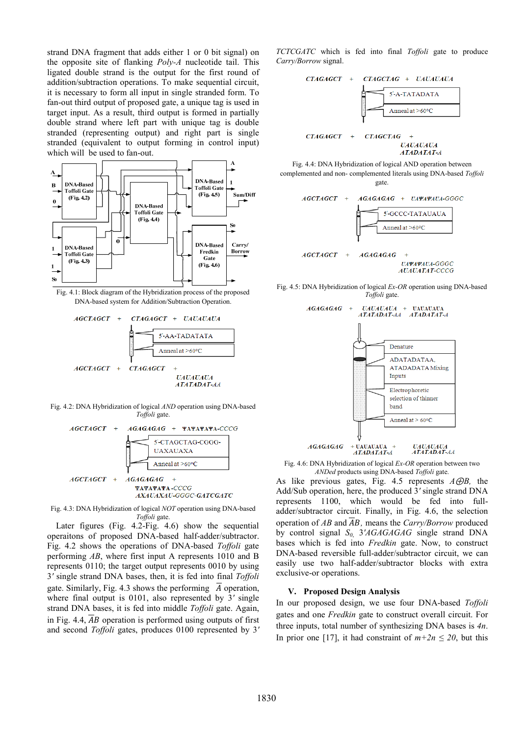strand DNA fragment that adds either 1 or 0 bit signal) on the opposite site of flanking *Poly-A* nucleotide tail. This ligated double strand is the output for the first round of addition/subtraction operations. To make sequential circuit, it is necessary to form all input in single stranded form. To fan-out third output of proposed gate, a unique tag is used in target input. As a result, third output is formed in partially double strand where left part with unique tag is double stranded (representing output) and right part is single stranded (equivalent to output forming in control input) which will be used to fan-out.



Fig. 4.1: Block diagram of the Hybridization process of the proposed DNA-based system for Addition/Subtraction Operation.



Fig. 4.2: DNA Hybridization of logical *AND* operation using DNA-based *Toffoli* gate.



Fig. 4.3: DNA Hybridization of logical *NOT* operation using DNA-based *Toffoli* gate.

 Later figures (Fig. 4.2-Fig. 4.6) show the sequential operaitons of proposed DNA-based half-adder/subtractor. Fig. 4.2 shows the operations of DNA-based *Toffoli* gate performing *AB*, where first input A represents 1010 and B represents 0110; the target output represents 0010 by using 3*'* single strand DNA bases, then, it is fed into final *Toffoli* gate. Similarly, Fig. 4.3 shows the performing  $\overline{A}$  operation, where final output is 0101, also represented by 3*'* single strand DNA bases, it is fed into middle *Toffoli* gate. Again, in Fig. 4.4,  $\overline{AB}$  operation is performed using outputs of first and second *Toffoli* gates, produces 0100 represented by 3*'*  *TCTCGATC* which is fed into final *Toffoli* gate to produce *Carry/Borrow* signal.



Fig. 4.4: DNA Hybridization of logical AND operation between complemented and non- complemented literals using DNA-based *Toffoli* gate.



Fig. 4.5: DNA Hybridization of logical *Ex-OR* operation using DNA-based *Toffoli* gate.



Fig. 4.6: DNA Hybridization of logical *Ex-OR* operation between two *ANDed* products using DNA-based *Toffoli* gate.

As like previous gates, Fig. 4.5 represents *A*⊕*B,* the Add/Sub operation, here, the produced 3*'* single strand DNA represents 1100, which would be fed into fulladder/subtractor circuit. Finally, in Fig. 4.6, the selection operation of  $\overline{AB}$  and  $\overline{AB}$ , means the *Carry/Borrow* produced by control signal *S0*, 3*'AGAGAGAG* single strand DNA bases which is fed into *Fredkin* gate. Now, to construct DNA-based reversible full-adder/subtractor circuit, we can easily use two half-adder/subtractor blocks with extra exclusive-or operations.

# **V. Proposed Design Analysis**

In our proposed design, we use four DNA-based *Toffoli* gates and one *Fredkin* gate to construct overall circuit. For three inputs, total number of synthesizing DNA bases is *4n*. In prior one [17], it had constraint of  $m+2n \leq 20$ , but this